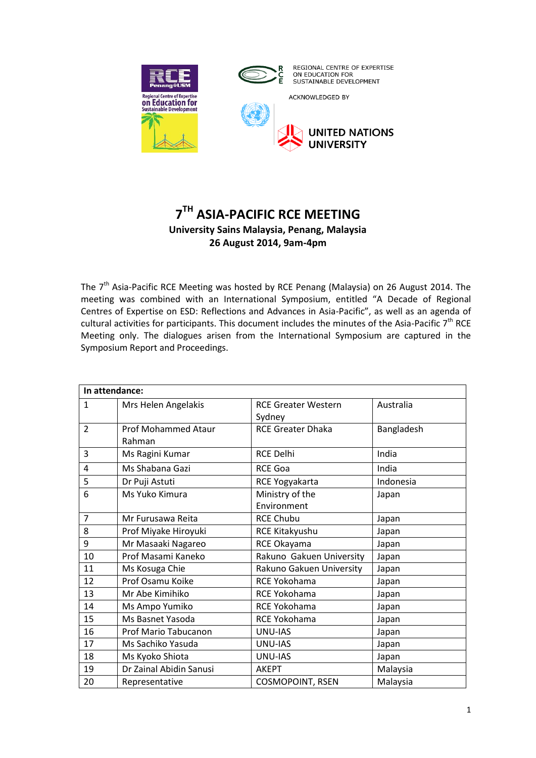



ACKNOWLEDGED BY



# **7 TH ASIA-PACIFIC RCE MEETING University Sains Malaysia, Penang, Malaysia 26 August 2014, 9am-4pm**

The 7<sup>th</sup> Asia-Pacific RCE Meeting was hosted by RCE Penang (Malaysia) on 26 August 2014. The meeting was combined with an International Symposium, entitled "A Decade of Regional Centres of Expertise on ESD: Reflections and Advances in Asia-Pacific", as well as an agenda of cultural activities for participants. This document includes the minutes of the Asia-Pacific  $7<sup>th</sup>$  RCE Meeting only. The dialogues arisen from the International Symposium are captured in the Symposium Report and Proceedings.

| In attendance: |                                      |                                      |            |
|----------------|--------------------------------------|--------------------------------------|------------|
| $\mathbf{1}$   | Mrs Helen Angelakis                  | <b>RCE Greater Western</b><br>Sydney | Australia  |
| $\overline{2}$ | <b>Prof Mohammed Ataur</b><br>Rahman | <b>RCE Greater Dhaka</b>             | Bangladesh |
| 3              | Ms Ragini Kumar                      | <b>RCE Delhi</b>                     | India      |
| 4              | Ms Shabana Gazi                      | <b>RCE Goa</b>                       | India      |
| 5              | Dr Puji Astuti                       | RCE Yogyakarta                       | Indonesia  |
| 6              | Ms Yuko Kimura                       | Ministry of the<br>Environment       | Japan      |
| $\overline{7}$ | Mr Furusawa Reita                    | <b>RCE Chubu</b>                     | Japan      |
| 8              | Prof Miyake Hiroyuki                 | RCE Kitakyushu                       | Japan      |
| 9              | Mr Masaaki Nagareo                   | RCE Okayama                          | Japan      |
| 10             | Prof Masami Kaneko                   | Rakuno Gakuen University             | Japan      |
| 11             | Ms Kosuga Chie                       | Rakuno Gakuen University             | Japan      |
| 12             | Prof Osamu Koike                     | <b>RCE Yokohama</b>                  | Japan      |
| 13             | Mr Abe Kimihiko                      | RCE Yokohama                         | Japan      |
| 14             | Ms Ampo Yumiko                       | RCE Yokohama                         | Japan      |
| 15             | Ms Basnet Yasoda                     | RCE Yokohama                         | Japan      |
| 16             | Prof Mario Tabucanon                 | <b>UNU-IAS</b>                       | Japan      |
| 17             | Ms Sachiko Yasuda                    | UNU-IAS                              | Japan      |
| 18             | Ms Kyoko Shiota                      | UNU-IAS                              | Japan      |
| 19             | Dr Zainal Abidin Sanusi              | <b>AKEPT</b>                         | Malaysia   |
| 20             | Representative                       | <b>COSMOPOINT, RSEN</b>              | Malaysia   |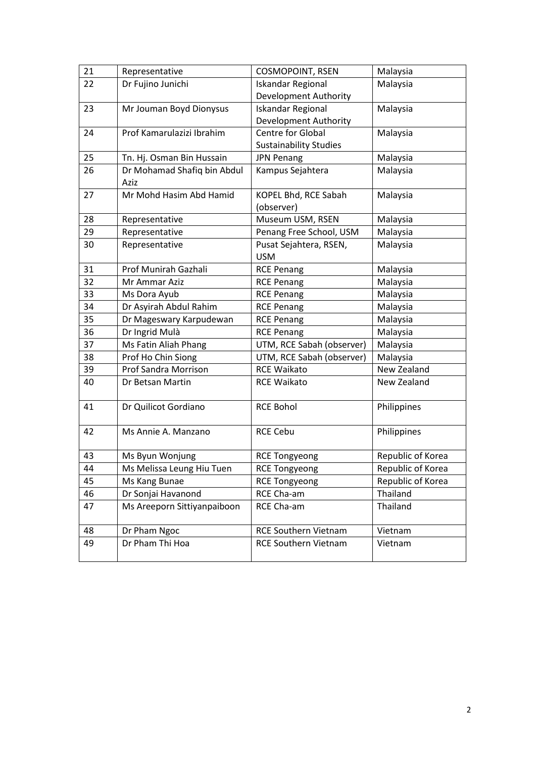| 21 | Representative              | <b>COSMOPOINT, RSEN</b>       | Malaysia          |
|----|-----------------------------|-------------------------------|-------------------|
| 22 | Dr Fujino Junichi           | <b>Iskandar Regional</b>      | Malaysia          |
|    |                             | <b>Development Authority</b>  |                   |
| 23 | Mr Jouman Boyd Dionysus     | <b>Iskandar Regional</b>      | Malaysia          |
|    |                             | <b>Development Authority</b>  |                   |
| 24 | Prof Kamarulazizi Ibrahim   | <b>Centre for Global</b>      | Malaysia          |
|    |                             | <b>Sustainability Studies</b> |                   |
| 25 | Tn. Hj. Osman Bin Hussain   | <b>JPN Penang</b>             | Malaysia          |
| 26 | Dr Mohamad Shafiq bin Abdul | Kampus Sejahtera              | Malaysia          |
|    | Aziz                        |                               |                   |
| 27 | Mr Mohd Hasim Abd Hamid     | KOPEL Bhd, RCE Sabah          | Malaysia          |
|    |                             | (observer)                    |                   |
| 28 | Representative              | Museum USM, RSEN              | Malaysia          |
| 29 | Representative              | Penang Free School, USM       | Malaysia          |
| 30 | Representative              | Pusat Sejahtera, RSEN,        | Malaysia          |
|    |                             | <b>USM</b>                    |                   |
| 31 | Prof Munirah Gazhali        | <b>RCE Penang</b>             | Malaysia          |
| 32 | Mr Ammar Aziz               | <b>RCE Penang</b>             | Malaysia          |
| 33 | Ms Dora Ayub                | <b>RCE Penang</b>             | Malaysia          |
| 34 | Dr Asyirah Abdul Rahim      | <b>RCE Penang</b>             | Malaysia          |
| 35 | Dr Mageswary Karpudewan     | <b>RCE Penang</b>             | Malaysia          |
| 36 | Dr Ingrid Mulà              | <b>RCE Penang</b>             | Malaysia          |
| 37 | Ms Fatin Aliah Phang        | UTM, RCE Sabah (observer)     | Malaysia          |
| 38 | Prof Ho Chin Siong          | UTM, RCE Sabah (observer)     | Malaysia          |
| 39 | Prof Sandra Morrison        | <b>RCE Waikato</b>            | New Zealand       |
| 40 | Dr Betsan Martin            | <b>RCE Waikato</b>            | New Zealand       |
| 41 | Dr Quilicot Gordiano        | <b>RCE Bohol</b>              | Philippines       |
|    |                             |                               |                   |
| 42 | Ms Annie A. Manzano         | <b>RCE Cebu</b>               | Philippines       |
| 43 | Ms Byun Wonjung             | <b>RCE Tongyeong</b>          | Republic of Korea |
| 44 | Ms Melissa Leung Hiu Tuen   | <b>RCE Tongyeong</b>          | Republic of Korea |
| 45 | Ms Kang Bunae               | <b>RCE Tongyeong</b>          | Republic of Korea |
| 46 | Dr Sonjai Havanond          | RCE Cha-am                    | Thailand          |
| 47 | Ms Areeporn Sittiyanpaiboon | RCE Cha-am                    | Thailand          |
|    |                             |                               |                   |
| 48 | Dr Pham Ngoc                | <b>RCE Southern Vietnam</b>   | Vietnam           |
| 49 | Dr Pham Thi Hoa             | <b>RCE Southern Vietnam</b>   | Vietnam           |
|    |                             |                               |                   |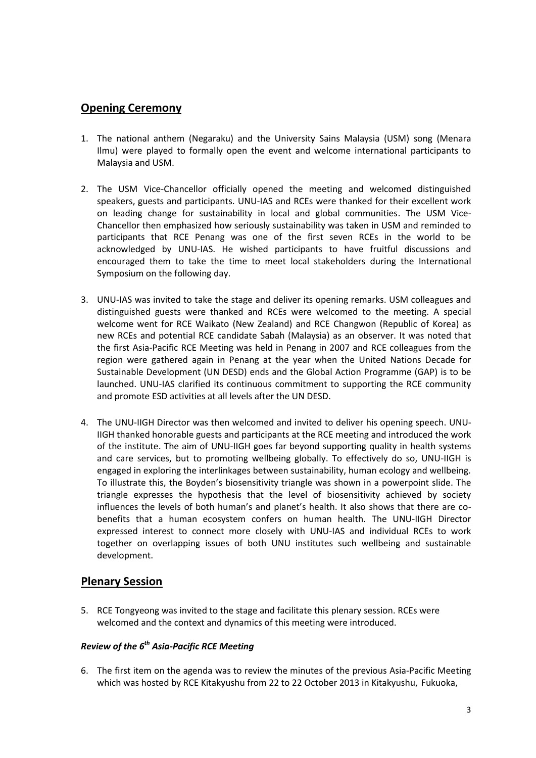## **Opening Ceremony**

- 1. The national anthem (Negaraku) and the University Sains Malaysia (USM) song (Menara Ilmu) were played to formally open the event and welcome international participants to Malaysia and USM.
- 2. The USM Vice-Chancellor officially opened the meeting and welcomed distinguished speakers, guests and participants. UNU-IAS and RCEs were thanked for their excellent work on leading change for sustainability in local and global communities. The USM Vice-Chancellor then emphasized how seriously sustainability was taken in USM and reminded to participants that RCE Penang was one of the first seven RCEs in the world to be acknowledged by UNU-IAS. He wished participants to have fruitful discussions and encouraged them to take the time to meet local stakeholders during the International Symposium on the following day.
- 3. UNU-IAS was invited to take the stage and deliver its opening remarks. USM colleagues and distinguished guests were thanked and RCEs were welcomed to the meeting. A special welcome went for RCE Waikato (New Zealand) and RCE Changwon (Republic of Korea) as new RCEs and potential RCE candidate Sabah (Malaysia) as an observer. It was noted that the first Asia-Pacific RCE Meeting was held in Penang in 2007 and RCE colleagues from the region were gathered again in Penang at the year when the United Nations Decade for Sustainable Development (UN DESD) ends and the Global Action Programme (GAP) is to be launched. UNU-IAS clarified its continuous commitment to supporting the RCE community and promote ESD activities at all levels after the UN DESD.
- 4. The UNU-IIGH Director was then welcomed and invited to deliver his opening speech. UNU-IIGH thanked honorable guests and participants at the RCE meeting and introduced the work of the institute. The aim of UNU-IIGH goes far beyond supporting quality in health systems and care services, but to promoting wellbeing globally. To effectively do so, UNU-IIGH is engaged in exploring the interlinkages between sustainability, human ecology and wellbeing. To illustrate this, the Boyden's biosensitivity triangle was shown in a powerpoint slide. The triangle expresses the hypothesis that the level of biosensitivity achieved by society influences the levels of both human's and planet's health. It also shows that there are cobenefits that a human ecosystem confers on human health. The UNU-IIGH Director expressed interest to connect more closely with UNU-IAS and individual RCEs to work together on overlapping issues of both UNU institutes such wellbeing and sustainable development.

## **Plenary Session**

5. RCE Tongyeong was invited to the stage and facilitate this plenary session. RCEs were welcomed and the context and dynamics of this meeting were introduced.

## *Review of the 6th Asia-Pacific RCE Meeting*

6. The first item on the agenda was to review the minutes of the previous Asia-Pacific Meeting which was hosted by RCE Kitakyushu from 22 to 22 October 2013 in Kitakyushu, Fukuoka,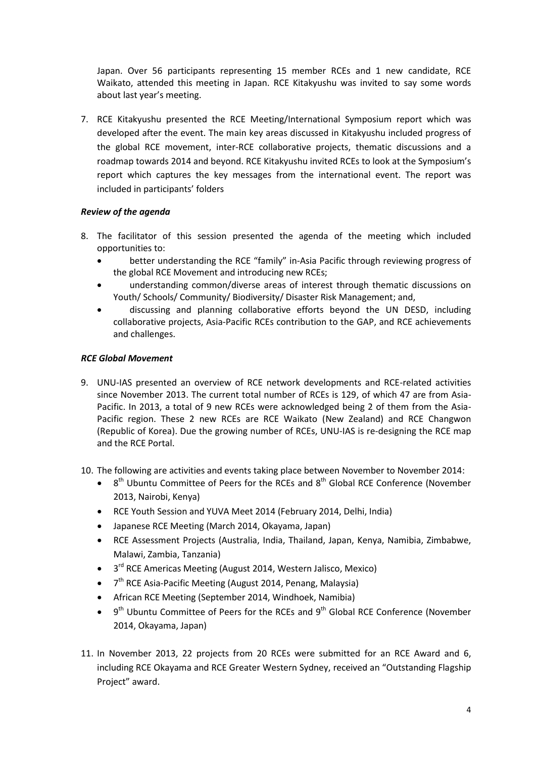Japan. Over 56 participants representing 15 member RCEs and 1 new candidate, RCE Waikato, attended this meeting in Japan. RCE Kitakyushu was invited to say some words about last year's meeting.

7. RCE Kitakyushu presented the RCE Meeting/International Symposium report which was developed after the event. The main key areas discussed in Kitakyushu included progress of the global RCE movement, inter-RCE collaborative projects, thematic discussions and a roadmap towards 2014 and beyond. RCE Kitakyushu invited RCEs to look at the Symposium's report which captures the key messages from the international event. The report was included in participants' folders

### *Review of the agenda*

- 8. The facilitator of this session presented the agenda of the meeting which included opportunities to:
	- better understanding the RCE "family" in-Asia Pacific through reviewing progress of the global RCE Movement and introducing new RCEs;
	- understanding common/diverse areas of interest through thematic discussions on Youth/ Schools/ Community/ Biodiversity/ Disaster Risk Management; and,
	- discussing and planning collaborative efforts beyond the UN DESD, including collaborative projects, Asia-Pacific RCEs contribution to the GAP, and RCE achievements and challenges.

### *RCE Global Movement*

9. UNU-IAS presented an overview of RCE network developments and RCE-related activities since November 2013. The current total number of RCEs is 129, of which 47 are from Asia-Pacific. In 2013, a total of 9 new RCEs were acknowledged being 2 of them from the Asia-Pacific region. These 2 new RCEs are RCE Waikato (New Zealand) and RCE Changwon (Republic of Korea). Due the growing number of RCEs, UNU-IAS is re-designing the RCE map and the RCE Portal.

10. The following are activities and events taking place between November to November 2014:

- $\bullet$ <sup>th</sup> Ubuntu Committee of Peers for the RCEs and 8<sup>th</sup> Global RCE Conference (November 2013, Nairobi, Kenya)
- RCE Youth Session and YUVA Meet 2014 (February 2014, Delhi, India)
- Japanese RCE Meeting (March 2014, Okayama, Japan)
- RCE Assessment Projects (Australia, India, Thailand, Japan, Kenya, Namibia, Zimbabwe, Malawi, Zambia, Tanzania)
- 3<sup>rd</sup> RCE Americas Meeting (August 2014, Western Jalisco, Mexico)
- $\bullet$  $7<sup>th</sup>$  RCE Asia-Pacific Meeting (August 2014, Penang, Malaysia)
- African RCE Meeting (September 2014, Windhoek, Namibia)
- $\bullet$  9<sup>th</sup> Ubuntu Committee of Peers for the RCEs and 9<sup>th</sup> Global RCE Conference (November 2014, Okayama, Japan)
- 11. In November 2013, 22 projects from 20 RCEs were submitted for an RCE Award and 6, including RCE Okayama and RCE Greater Western Sydney, received an "Outstanding Flagship Project" award.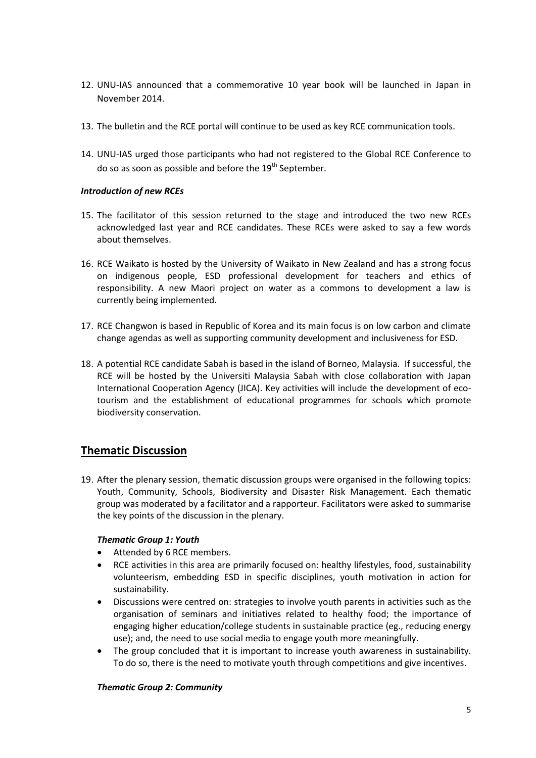- 12. UNU-IAS announced that a commemorative 10 year book will be launched in Japan in November 2014.
- 13. The bulletin and the RCE portal will continue to be used as key RCE communication tools.
- 14. UNU-IAS urged those participants who had not registered to the Global RCE Conference to do so as soon as possible and before the  $19<sup>th</sup>$  September.

#### *Introduction of new RCEs*

- 15. The facilitator of this session returned to the stage and introduced the two new RCEs acknowledged last year and RCE candidates. These RCEs were asked to say a few words about themselves.
- 16. RCE Waikato is hosted by the University of Waikato in New Zealand and has a strong focus on indigenous people, ESD professional development for teachers and ethics of responsibility. A new Maori project on water as a commons to development a law is currently being implemented.
- 17. RCE Changwon is based in Republic of Korea and its main focus is on low carbon and climate change agendas as well as supporting community development and inclusiveness for ESD.
- 18. A potential RCE candidate Sabah is based in the island of Borneo, Malaysia. If successful, the RCE will be hosted by the Universiti Malaysia Sabah with close collaboration with Japan International Cooperation Agency (JICA). Key activities will include the development of ecotourism and the establishment of educational programmes for schools which promote biodiversity conservation.

## **Thematic Discussion**

19. After the plenary session, thematic discussion groups were organised in the following topics: Youth, Community, Schools, Biodiversity and Disaster Risk Management. Each thematic group was moderated by a facilitator and a rapporteur. Facilitators were asked to summarise the key points of the discussion in the plenary.

#### *Thematic Group 1: Youth*

- Attended by 6 RCE members.
- RCE activities in this area are primarily focused on: healthy lifestyles, food, sustainability volunteerism, embedding ESD in specific disciplines, youth motivation in action for sustainability.
- Discussions were centred on: strategies to involve youth parents in activities such as the organisation of seminars and initiatives related to healthy food; the importance of engaging higher education/college students in sustainable practice (eg., reducing energy use); and, the need to use social media to engage youth more meaningfully.
- The group concluded that it is important to increase youth awareness in sustainability. To do so, there is the need to motivate youth through competitions and give incentives.

#### *Thematic Group 2: Community*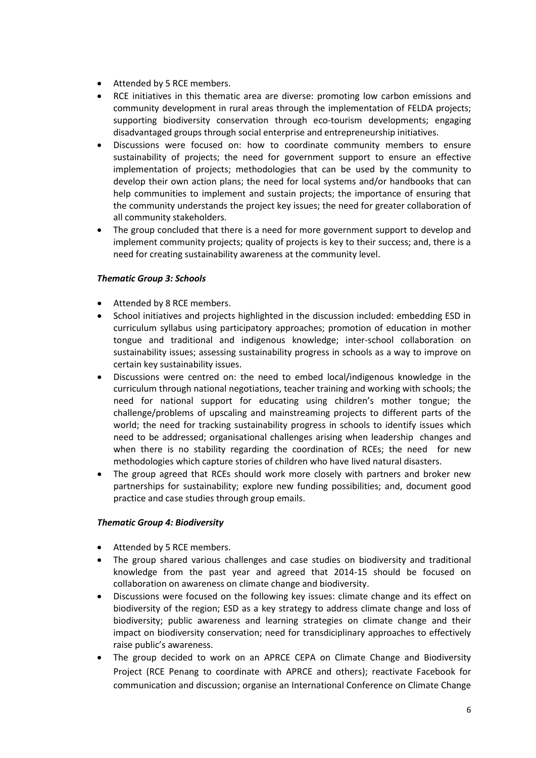- Attended by 5 RCE members.
- RCE initiatives in this thematic area are diverse: promoting low carbon emissions and community development in rural areas through the implementation of FELDA projects; supporting biodiversity conservation through eco-tourism developments; engaging disadvantaged groups through social enterprise and entrepreneurship initiatives.
- Discussions were focused on: how to coordinate community members to ensure sustainability of projects; the need for government support to ensure an effective implementation of projects; methodologies that can be used by the community to develop their own action plans; the need for local systems and/or handbooks that can help communities to implement and sustain projects; the importance of ensuring that the community understands the project key issues; the need for greater collaboration of all community stakeholders.
- The group concluded that there is a need for more government support to develop and implement community projects; quality of projects is key to their success; and, there is a need for creating sustainability awareness at the community level.

#### *Thematic Group 3: Schools*

- Attended by 8 RCE members.
- School initiatives and projects highlighted in the discussion included: embedding ESD in curriculum syllabus using participatory approaches; promotion of education in mother tongue and traditional and indigenous knowledge; inter-school collaboration on sustainability issues; assessing sustainability progress in schools as a way to improve on certain key sustainability issues.
- Discussions were centred on: the need to embed local/indigenous knowledge in the curriculum through national negotiations, teacher training and working with schools; the need for national support for educating using children's mother tongue; the challenge/problems of upscaling and mainstreaming projects to different parts of the world; the need for tracking sustainability progress in schools to identify issues which need to be addressed; organisational challenges arising when leadership changes and when there is no stability regarding the coordination of RCEs; the need for new methodologies which capture stories of children who have lived natural disasters.
- The group agreed that RCEs should work more closely with partners and broker new partnerships for sustainability; explore new funding possibilities; and, document good practice and case studies through group emails.

#### *Thematic Group 4: Biodiversity*

- Attended by 5 RCE members.
- The group shared various challenges and case studies on biodiversity and traditional knowledge from the past year and agreed that 2014-15 should be focused on collaboration on awareness on climate change and biodiversity.
- Discussions were focused on the following key issues: climate change and its effect on biodiversity of the region; ESD as a key strategy to address climate change and loss of biodiversity; public awareness and learning strategies on climate change and their impact on biodiversity conservation; need for transdiciplinary approaches to effectively raise public's awareness.
- The group decided to work on an APRCE CEPA on Climate Change and Biodiversity Project (RCE Penang to coordinate with APRCE and others); reactivate Facebook for communication and discussion; organise an International Conference on Climate Change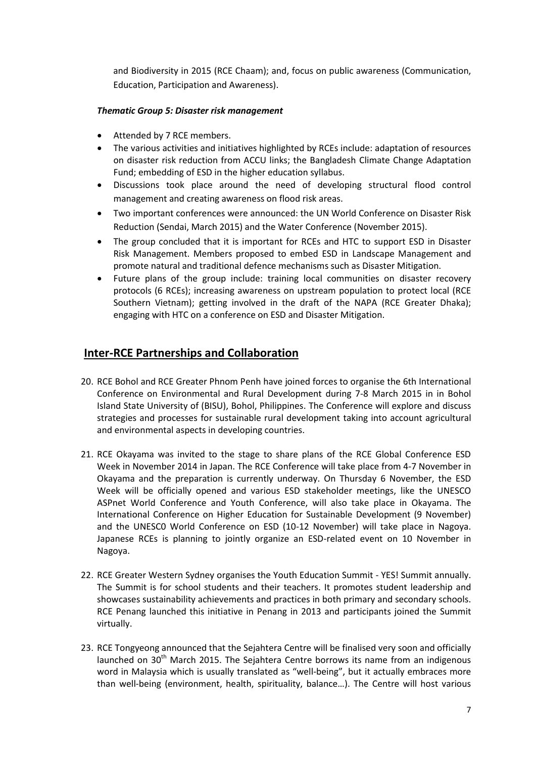and Biodiversity in 2015 (RCE Chaam); and, focus on public awareness (Communication, Education, Participation and Awareness).

#### *Thematic Group 5: Disaster risk management*

- Attended by 7 RCE members.
- The various activities and initiatives highlighted by RCEs include: adaptation of resources on disaster risk reduction from ACCU links; the Bangladesh Climate Change Adaptation Fund; embedding of ESD in the higher education syllabus.
- Discussions took place around the need of developing structural flood control management and creating awareness on flood risk areas.
- Two important conferences were announced: the UN World Conference on Disaster Risk Reduction (Sendai, March 2015) and the Water Conference (November 2015).
- The group concluded that it is important for RCEs and HTC to support ESD in Disaster Risk Management. Members proposed to embed ESD in Landscape Management and promote natural and traditional defence mechanisms such as Disaster Mitigation.
- Future plans of the group include: training local communities on disaster recovery protocols (6 RCEs); increasing awareness on upstream population to protect local (RCE Southern Vietnam); getting involved in the draft of the NAPA (RCE Greater Dhaka); engaging with HTC on a conference on ESD and Disaster Mitigation.

## **Inter-RCE Partnerships and Collaboration**

- 20. RCE Bohol and RCE Greater Phnom Penh have joined forces to organise the 6th International Conference on Environmental and Rural Development during 7-8 March 2015 in in Bohol Island State University of (BISU), Bohol, Philippines. The Conference will explore and discuss strategies and processes for sustainable rural development taking into account agricultural and environmental aspects in developing countries.
- 21. RCE Okayama was invited to the stage to share plans of the RCE Global Conference ESD Week in November 2014 in Japan. The RCE Conference will take place from 4-7 November in Okayama and the preparation is currently underway. On Thursday 6 November, the ESD Week will be officially opened and various ESD stakeholder meetings, like the UNESCO ASPnet World Conference and Youth Conference, will also take place in Okayama. The International Conference on Higher Education for Sustainable Development (9 November) and the UNESC0 World Conference on ESD (10-12 November) will take place in Nagoya. Japanese RCEs is planning to jointly organize an ESD-related event on 10 November in Nagoya.
- 22. RCE Greater Western Sydney organises the Youth Education Summit YES! Summit annually. The Summit is for school students and their teachers. It promotes student leadership and showcases sustainability achievements and practices in both primary and secondary schools. RCE Penang launched this initiative in Penang in 2013 and participants joined the Summit virtually.
- 23. RCE Tongyeong announced that the Sejahtera Centre will be finalised very soon and officially launched on  $30<sup>th</sup>$  March 2015. The Sejahtera Centre borrows its name from an indigenous word in Malaysia which is usually translated as "well-being", but it actually embraces more than well-being (environment, health, spirituality, balance…). The Centre will host various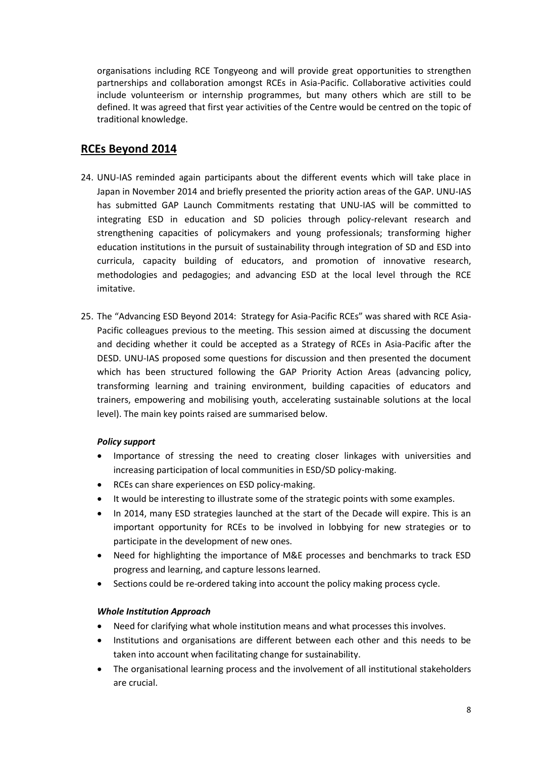organisations including RCE Tongyeong and will provide great opportunities to strengthen partnerships and collaboration amongst RCEs in Asia-Pacific. Collaborative activities could include volunteerism or internship programmes, but many others which are still to be defined. It was agreed that first year activities of the Centre would be centred on the topic of traditional knowledge.

## **RCEs Beyond 2014**

- 24. UNU-IAS reminded again participants about the different events which will take place in Japan in November 2014 and briefly presented the priority action areas of the GAP. UNU-IAS has submitted GAP Launch Commitments restating that UNU-IAS will be committed to integrating ESD in education and SD policies through policy-relevant research and strengthening capacities of policymakers and young professionals; transforming higher education institutions in the pursuit of sustainability through integration of SD and ESD into curricula, capacity building of educators, and promotion of innovative research, methodologies and pedagogies; and advancing ESD at the local level through the RCE imitative.
- 25. The "Advancing ESD Beyond 2014: Strategy for Asia-Pacific RCEs" was shared with RCE Asia-Pacific colleagues previous to the meeting. This session aimed at discussing the document and deciding whether it could be accepted as a Strategy of RCEs in Asia-Pacific after the DESD. UNU-IAS proposed some questions for discussion and then presented the document which has been structured following the GAP Priority Action Areas (advancing policy, transforming learning and training environment, building capacities of educators and trainers, empowering and mobilising youth, accelerating sustainable solutions at the local level). The main key points raised are summarised below.

### *Policy support*

- Importance of stressing the need to creating closer linkages with universities and increasing participation of local communities in ESD/SD policy-making.
- RCEs can share experiences on ESD policy-making.
- It would be interesting to illustrate some of the strategic points with some examples.
- In 2014, many ESD strategies launched at the start of the Decade will expire. This is an important opportunity for RCEs to be involved in lobbying for new strategies or to participate in the development of new ones.
- Need for highlighting the importance of M&E processes and benchmarks to track ESD progress and learning, and capture lessons learned.
- Sections could be re-ordered taking into account the policy making process cycle.

### *Whole Institution Approach*

- Need for clarifying what whole institution means and what processes this involves.
- Institutions and organisations are different between each other and this needs to be taken into account when facilitating change for sustainability.
- The organisational learning process and the involvement of all institutional stakeholders are crucial.